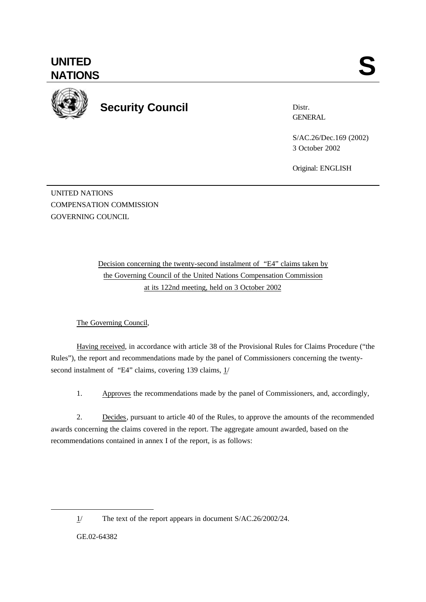

**Security Council**

Distr. **GENERAL** 

S/AC.26/Dec.169 (2002) 3 October 2002

Original: ENGLISH

UNITED NATIONS COMPENSATION COMMISSION GOVERNING COUNCIL

> Decision concerning the twenty-second instalment of "E4" claims taken by the Governing Council of the United Nations Compensation Commission at its 122nd meeting, held on 3 October 2002

The Governing Council,

Having received, in accordance with article 38 of the Provisional Rules for Claims Procedure ("the Rules"), the report and recommendations made by the panel of Commissioners concerning the twentysecond instalment of "E4" claims, covering 139 claims,  $1/$ 

1. Approves the recommendations made by the panel of Commissioners, and, accordingly,

2. Decides, pursuant to article 40 of the Rules, to approve the amounts of the recommended awards concerning the claims covered in the report. The aggregate amount awarded, based on the recommendations contained in annex I of the report, is as follows:

GE.02-64382

l

<sup>1/</sup> The text of the report appears in document S/AC.26/2002/24.